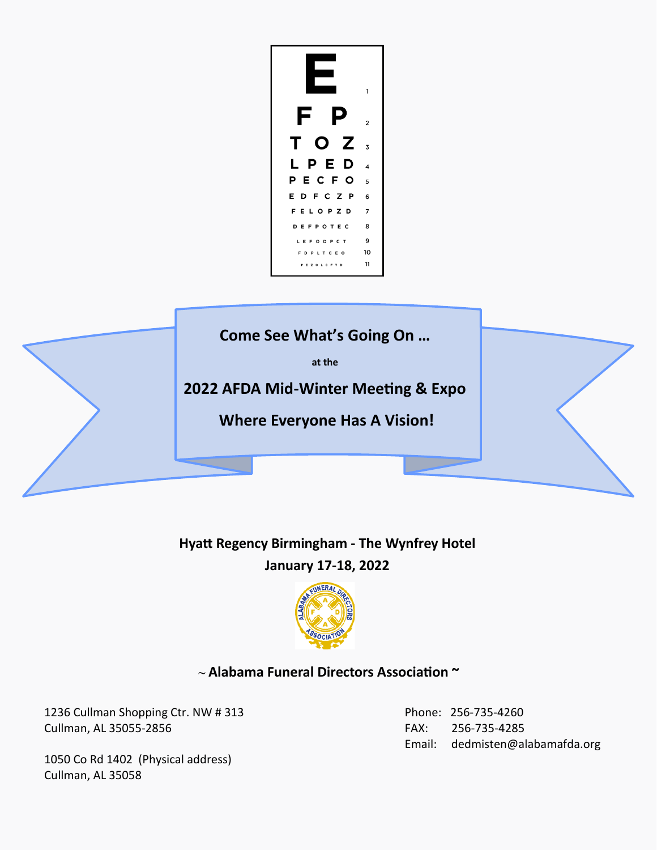

# **Hyatt Regency Birmingham - The Wynfrey Hotel January 17-18, 2022**



### **~ Alabama Funeral Directors Association ~**

1236 Cullman Shopping Ctr. NW # 313 Cullman, AL 35055-2856

 Phone: 256-735-4260 FAX: 256-735-4285 Email: dedmisten@alabamafda.org

1050 Co Rd 1402 (Physical address) Cullman, AL 35058